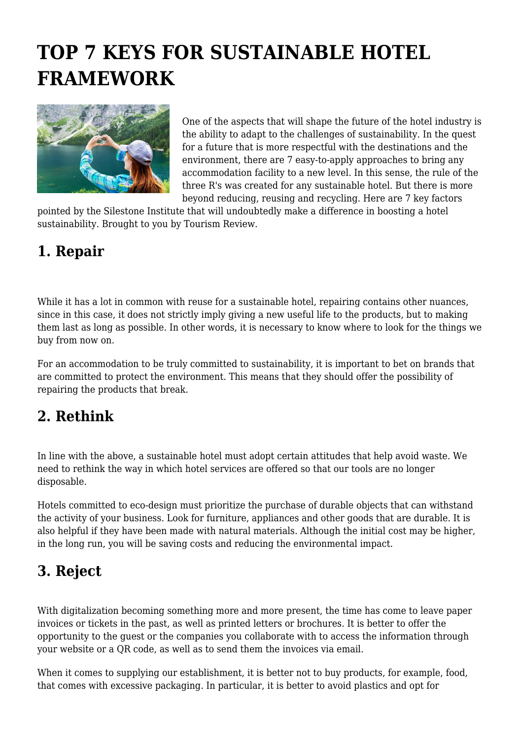# **TOP 7 KEYS FOR SUSTAINABLE HOTEL FRAMEWORK**



One of the aspects that will shape the future of the hotel industry is the ability to adapt to the challenges of sustainability. In the quest for a future that is more respectful with the destinations and the environment, there are 7 easy-to-apply approaches to bring any accommodation facility to a new level. In this sense, the rule of the three R's was created for any sustainable hotel. But there is more beyond reducing, reusing and recycling. Here are 7 key factors

pointed by the Silestone Institute that will undoubtedly make a difference in boosting a hotel sustainability. Brought to you by Tourism Review.

### **1. Repair**

While it has a lot in common with reuse for a sustainable hotel, repairing contains other nuances, since in this case, it does not strictly imply giving a new useful life to the products, but to making them last as long as possible. In other words, it is necessary to know where to look for the things we buy from now on.

For an accommodation to be truly committed to sustainability, it is important to bet on brands that are committed to protect the environment. This means that they should offer the possibility of repairing the products that break.

## **2. Rethink**

In line with the above, a sustainable hotel must adopt certain attitudes that help avoid waste. We need to rethink the way in which hotel services are offered so that our tools are no longer disposable.

Hotels committed to eco-design must prioritize the purchase of durable objects that can withstand the activity of your business. Look for furniture, appliances and other goods that are durable. It is also helpful if they have been made with natural materials. Although the initial cost may be higher, in the long run, you will be saving costs and reducing the environmental impact.

## **3. Reject**

With digitalization becoming something more and more present, the time has come to leave paper invoices or tickets in the past, as well as printed letters or brochures. It is better to offer the opportunity to the guest or the companies you collaborate with to access the information through your website or a QR code, as well as to send them the invoices via email.

When it comes to supplying our establishment, it is better not to buy products, for example, food, that comes with excessive packaging. In particular, it is better to avoid plastics and opt for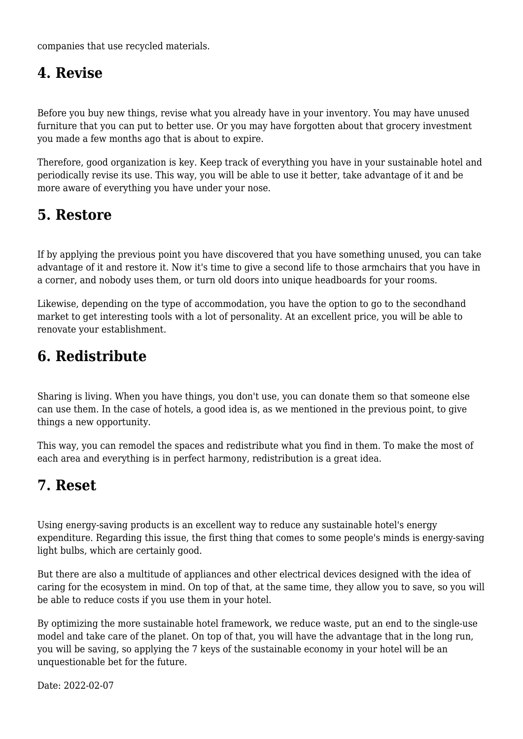companies that use recycled materials.

### **4. Revise**

Before you buy new things, revise what you already have in your inventory. You may have unused furniture that you can put to better use. Or you may have forgotten about that grocery investment you made a few months ago that is about to expire.

Therefore, good organization is key. Keep track of everything you have in your sustainable hotel and periodically revise its use. This way, you will be able to use it better, take advantage of it and be more aware of everything you have under your nose.

## **5. Restore**

If by applying the previous point you have discovered that you have something unused, you can take advantage of it and restore it. Now it's time to give a second life to those armchairs that you have in a corner, and nobody uses them, or turn old doors into unique headboards for your rooms.

Likewise, depending on the type of accommodation, you have the option to go to the secondhand market to get interesting tools with a lot of personality. At an excellent price, you will be able to renovate your establishment.

### **6. Redistribute**

Sharing is living. When you have things, you don't use, you can donate them so that someone else can use them. In the case of hotels, a good idea is, as we mentioned in the previous point, to give things a new opportunity.

This way, you can remodel the spaces and redistribute what you find in them. To make the most of each area and everything is in perfect harmony, redistribution is a great idea.

#### **7. Reset**

Using energy-saving products is an excellent way to reduce any sustainable hotel's energy expenditure. Regarding this issue, the first thing that comes to some people's minds is energy-saving light bulbs, which are certainly good.

But there are also a multitude of appliances and other electrical devices designed with the idea of caring for the ecosystem in mind. On top of that, at the same time, they allow you to save, so you will be able to reduce costs if you use them in your hotel.

By optimizing the more sustainable hotel framework, we reduce waste, put an end to the single-use model and take care of the planet. On top of that, you will have the advantage that in the long run, you will be saving, so applying the 7 keys of the sustainable economy in your hotel will be an unquestionable bet for the future.

Date: 2022-02-07